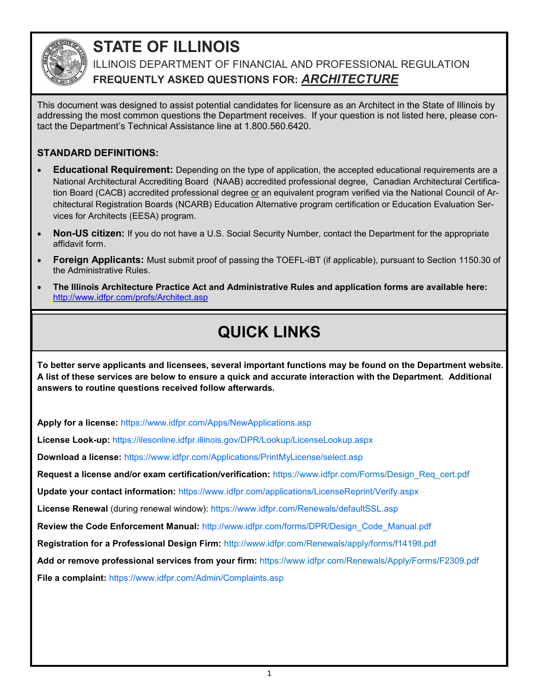

### **STATE OF ILLINOIS**

ILLINOIS DEPARTMENT OF FINANCIAL AND PROFESSIONAL REGULATION **FREQUENTLY ASKED QUESTIONS FOR:** *ARCHITECTURE*

This document was designed to assist potential candidates for licensure as an Architect in the State of Illinois by addressing the most common questions the Department receives. If your question is not listed here, please contact the Department's Technical Assistance line at 1.800.560.6420.

### **STANDARD DEFINITIONS:**

- **Educational Requirement:** Depending on the type of application, the accepted educational requirements are a National Architectural Accrediting Board (NAAB) accredited professional degree, Canadian Architectural Certification Board (CACB) accredited professional degree or an equivalent program verified via the National Council of Architectural Registration Boards (NCARB) Education Alternative program certification or Education Evaluation Services for Architects (EESA) program.
- **Non-US citizen:** If you do not have a U.S. Social Security Number, contact the Department for the appropriate affidavit form.
- **Foreign Applicants:** Must submit proof of passing the TOEFL-iBT (if applicable), pursuant to Section 1150.30 of the Administrative Rules.
- **The Illinois Architecture Practice Act and Administrative Rules and application forms are available here:**  http://www.idfpr.com/profs/Architect.asp

## **QUICK LINKS**

**To better serve applicants and licensees, several important functions may be found on the Department website. A list of these services are below to ensure a quick and accurate interaction with the Department. Additional answers to routine questions received follow afterwards.**

**Apply for a license:** https://www.idfpr.com/Apps/NewApplications.asp

**License Look-up:** https://ilesonline.idfpr.illinois.gov/DPR/Lookup/LicenseLookup.aspx

**Download a license:** https://www.idfpr.com/Applications/PrintMyLicense/select.asp

**Request a license and/or exam certification/verification:** https://www.idfpr.com/Forms/Design\_Req\_cert.pdf

**Update your contact information:** https://www.idfpr.com/applications/LicenseReprint/Verify.aspx

**License Renewal** (during renewal window): https://www.idfpr.com/Renewals/defaultSSL.asp

**Review the Code Enforcement Manual:** http://www.idfpr.com/forms/DPR/Design\_Code\_Manual.pdf

**Registration for a Professional Design Firm:** <http://www.idfpr.com/Renewals/apply/forms/f1419lt.pdf>

**Add or remove professional services from your firm:** https://www.idfpr.com/Renewals/Apply/Forms/F2309.pdf

**File a complaint:** https://www.idfpr.com/Admin/Complaints.asp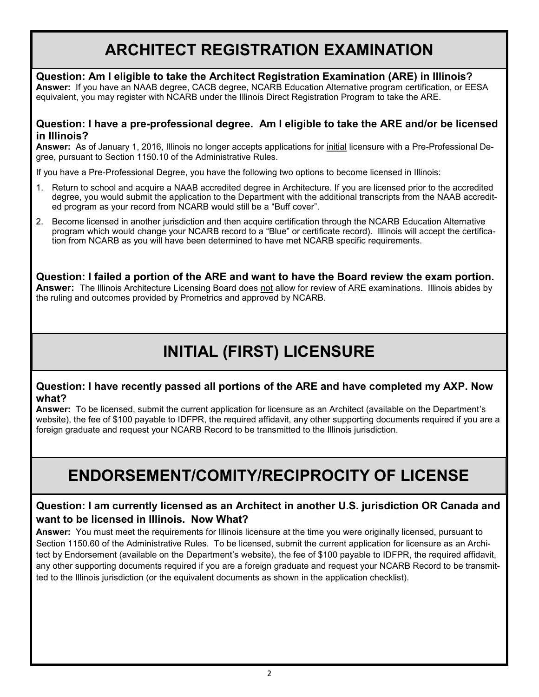### **ARCHITECT REGISTRATION EXAMINATION**

### **Question: Am I eligible to take the Architect Registration Examination (ARE) in Illinois?**

**Answer:** If you have an NAAB degree, CACB degree, NCARB Education Alternative program certification, or EESA equivalent, you may register with NCARB under the Illinois Direct Registration Program to take the ARE.

#### **Question: I have a pre-professional degree. Am I eligible to take the ARE and/or be licensed in Illinois?**

**Answer:** As of January 1, 2016, Illinois no longer accepts applications for initial licensure with a Pre-Professional Degree, pursuant to Section 1150.10 of the Administrative Rules.

If you have a Pre-Professional Degree, you have the following two options to become licensed in Illinois:

- 1. Return to school and acquire a NAAB accredited degree in Architecture. If you are licensed prior to the accredited degree, you would submit the application to the Department with the additional transcripts from the NAAB accredited program as your record from NCARB would still be a "Buff cover".
- 2. Become licensed in another jurisdiction and then acquire certification through the NCARB Education Alternative program which would change your NCARB record to a "Blue" or certificate record). Illinois will accept the certification from NCARB as you will have been determined to have met NCARB specific requirements.

**Question: I failed a portion of the ARE and want to have the Board review the exam portion. Answer:** The Illinois Architecture Licensing Board does not allow for review of ARE examinations. Illinois abides by the ruling and outcomes provided by Prometrics and approved by NCARB.

# **INITIAL (FIRST) LICENSURE**

#### **Question: I have recently passed all portions of the ARE and have completed my AXP. Now what?**

**Answer:** To be licensed, submit the current application for licensure as an Architect (available on the Department's website), the fee of \$100 payable to IDFPR, the required affidavit, any other supporting documents required if you are a foreign graduate and request your NCARB Record to be transmitted to the Illinois jurisdiction.

### **ENDORSEMENT/COMITY/RECIPROCITY OF LICENSE**

### **Question: I am currently licensed as an Architect in another U.S. jurisdiction OR Canada and want to be licensed in Illinois. Now What?**

**Answer:** You must meet the requirements for Illinois licensure at the time you were originally licensed, pursuant to Section 1150.60 of the Administrative Rules. To be licensed, submit the current application for licensure as an Architect by Endorsement (available on the Department's website), the fee of \$100 payable to IDFPR, the required affidavit, any other supporting documents required if you are a foreign graduate and request your NCARB Record to be transmitted to the Illinois jurisdiction (or the equivalent documents as shown in the application checklist).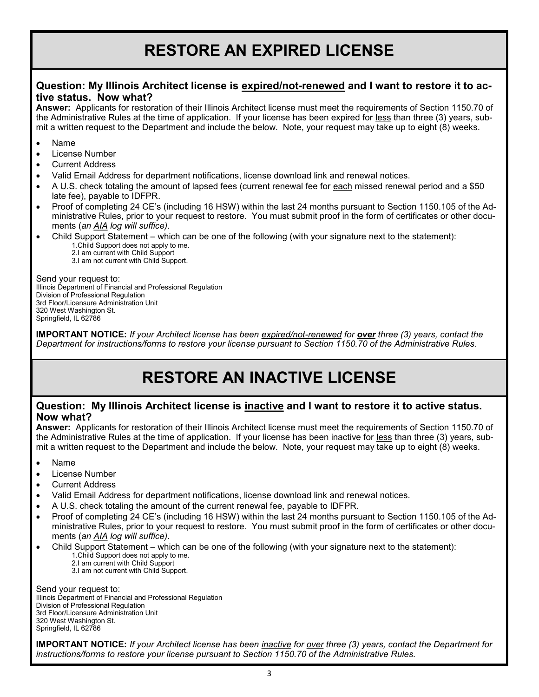### **RESTORE AN EXPIRED LICENSE**

#### **Question: My Illinois Architect license is expired/not-renewed and I want to restore it to active status. Now what?**

**Answer:** Applicants for restoration of their Illinois Architect license must meet the requirements of Section 1150.70 of the Administrative Rules at the time of application. If your license has been expired for less than three (3) years, submit a written request to the Department and include the below. Note, your request may take up to eight (8) weeks.

- Name
- License Number
- Current Address
- Valid Email Address for department notifications, license download link and renewal notices.
- A U.S. check totaling the amount of lapsed fees (current renewal fee for each missed renewal period and a \$50 late fee), payable to IDFPR.
- Proof of completing 24 CE's (including 16 HSW) within the last 24 months pursuant to Section 1150.105 of the Administrative Rules, prior to your request to restore. You must submit proof in the form of certificates or other documents (*an AIA log will suffice)*.
- Child Support Statement which can be one of the following (with your signature next to the statement):
	- 1.Child Support does not apply to me.
	- 2.I am current with Child Support
	- 3.I am not current with Child Support.

Send your request to: Illinois Department of Financial and Professional Regulation Division of Professional Regulation 3rd Floor/Licensure Administration Unit 320 West Washington St. Springfield, IL 62786

**IMPORTANT NOTICE:** *If your Architect license has been expired/not-renewed for over three (3) years, contact the Department for instructions/forms to restore your license pursuant to Section 1150.70 of the Administrative Rules.* 

### **RESTORE AN INACTIVE LICENSE**

#### **Question: My Illinois Architect license is inactive and I want to restore it to active status. Now what?**

**Answer:** Applicants for restoration of their Illinois Architect license must meet the requirements of Section 1150.70 of the Administrative Rules at the time of application. If your license has been inactive for less than three (3) years, submit a written request to the Department and include the below. Note, your request may take up to eight (8) weeks.

- Name
- License Number
- Current Address
- Valid Email Address for department notifications, license download link and renewal notices.
- A U.S. check totaling the amount of the current renewal fee, payable to IDFPR.
- Proof of completing 24 CE's (including 16 HSW) within the last 24 months pursuant to Section 1150.105 of the Administrative Rules, prior to your request to restore. You must submit proof in the form of certificates or other documents (*an AIA log will suffice)*.
- Child Support Statement which can be one of the following (with your signature next to the statement): 1.Child Support does not apply to me.
	- 2.I am current with Child Support
	- 3.I am not current with Child Support.

Send your request to: Illinois Department of Financial and Professional Regulation Division of Professional Regulation 3rd Floor/Licensure Administration Unit 320 West Washington St. Springfield, IL 62786

**IMPORTANT NOTICE:** *If your Architect license has been inactive for over three (3) years, contact the Department for instructions/forms to restore your license pursuant to Section 1150.70 of the Administrative Rules.*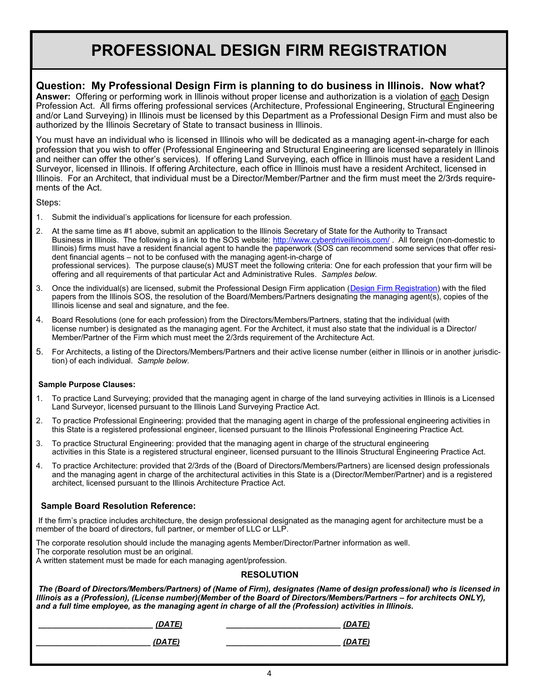### **PROFESSIONAL DESIGN FIRM REGISTRATION**

#### **Question: My Professional Design Firm is planning to do business in Illinois. Now what?**

**Answer:** Offering or performing work in Illinois without proper license and authorization is a violation of each Design Profession Act. All firms offering professional services (Architecture, Professional Engineering, Structural Engineering and/or Land Surveying) in Illinois must be licensed by this Department as a Professional Design Firm and must also be authorized by the Illinois Secretary of State to transact business in Illinois.

You must have an individual who is licensed in Illinois who will be dedicated as a managing agent-in-charge for each profession that you wish to offer (Professional Engineering and Structural Engineering are licensed separately in Illinois and neither can offer the other's services). If offering Land Surveying, each office in Illinois must have a resident Land Surveyor, licensed in Illinois. If offering Architecture, each office in Illinois must have a resident Architect, licensed in Illinois. For an Architect, that individual must be a Director/Member/Partner and the firm must meet the 2/3rds requirements of the Act.

Steps:

- 1. Submit the individual's applications for licensure for each profession.
- 2. At the same time as #1 above, submit an application to the Illinois Secretary of State for the Authority to Transact Business in Illinois. The following is a link to the SOS website:<http://www.cyberdriveillinois.com/>. All foreign (non-domestic to Illinois) firms must have a resident financial agent to handle the paperwork (SOS can recommend some services that offer resident financial agents – not to be confused with the managing agent-in-charge of professional services). The purpose clause(s) MUST meet the following criteria: One for each profession that your firm will be offering and all requirements of that particular Act and Administrative Rules. *Samples below.*
- 3. Once the individual(s) are licensed, submit the Professional Design Firm application ([Design Firm Registration\)](http://www.idfpr.com/Renewals/apply/forms/f1419lt.pdf) with the filed papers from the Illinois SOS, the resolution of the Board/Members/Partners designating the managing agent(s), copies of the Illinois license and seal and signature, and the fee.
- 4. Board Resolutions (one for each profession) from the Directors/Members/Partners, stating that the individual (with license number) is designated as the managing agent. For the Architect, it must also state that the individual is a Director/ Member/Partner of the Firm which must meet the 2/3rds requirement of the Architecture Act.
- 5. For Architects, a listing of the Directors/Members/Partners and their active license number (either in Illinois or in another jurisdiction) of each individual. *Sample below.*

#### **Sample Purpose Clauses:**

- 1. To practice Land Surveying; provided that the managing agent in charge of the land surveying activities in Illinois is a Licensed Land Surveyor, licensed pursuant to the Illinois Land Surveying Practice Act.
- 2. To practice Professional Engineering: provided that the managing agent in charge of the professional engineering activities in this State is a registered professional engineer, licensed pursuant to the Illinois Professional Engineering Practice Act.
- 3. To practice Structural Engineering: provided that the managing agent in charge of the structural engineering activities in this State is a registered structural engineer, licensed pursuant to the Illinois Structural Engineering Practice Act.
- 4. To practice Architecture: provided that 2/3rds of the (Board of Directors/Members/Partners) are licensed design professionals and the managing agent in charge of the architectural activities in this State is a (Director/Member/Partner) and is a registered architect, licensed pursuant to the Illinois Architecture Practice Act.

#### **Sample Board Resolution Reference:**

If the firm's practice includes architecture, the design professional designated as the managing agent for architecture must be a member of the board of directors, full partner, or member of LLC or LLP.

The corporate resolution should include the managing agents Member/Director/Partner information as well. The corporate resolution must be an original.

A written statement must be made for each managing agent/profession.

#### **RESOLUTION**

*The (Board of Directors/Members/Partners) of (Name of Firm), designates (Name of design professional) who is licensed in Illinois as a (Profession), (License number)(Member of the Board of Directors/Members/Partners – for architects ONLY), and a full time employee, as the managing agent in charge of all the (Profession) activities in Illinois.*

*\_\_\_\_\_\_\_\_\_\_\_\_\_\_\_\_\_\_\_\_\_\_\_\_\_\_ (DATE) \_\_\_\_\_\_\_\_\_\_\_\_\_\_\_\_\_\_\_\_\_\_\_\_\_\_ (DATE)* 

*\_\_\_\_\_\_\_\_\_\_\_\_\_\_\_\_\_\_\_\_\_\_\_\_\_\_ (DATE) \_\_\_\_\_\_\_\_\_\_\_\_\_\_\_\_\_\_\_\_\_\_\_\_\_\_ (DATE)*